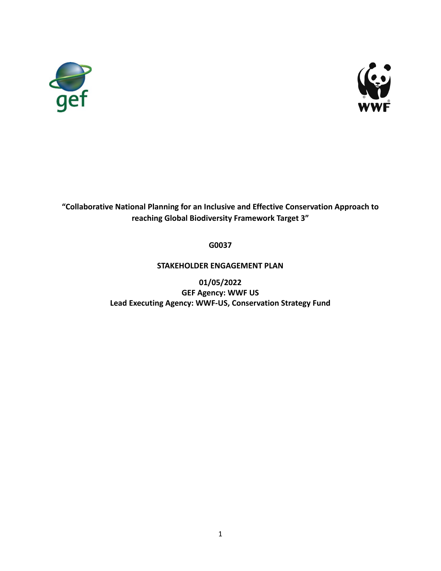



# **"Collaborative National Planning for an Inclusive and Effective Conservation Approach to reaching Global Biodiversity Framework Target 3"**

## **G0037**

## **STAKEHOLDER ENGAGEMENT PLAN**

**01/05/2022 GEF Agency: WWF US Lead Executing Agency: WWF-US, Conservation Strategy Fund**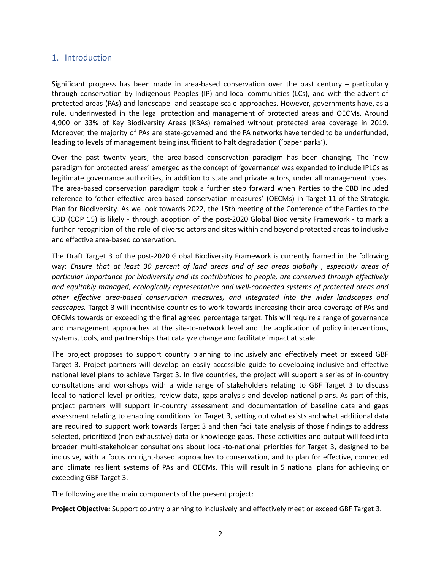### 1. Introduction

Significant progress has been made in area-based conservation over the past century – particularly through conservation by Indigenous Peoples (IP) and local communities (LCs), and with the advent of protected areas (PAs) and landscape- and seascape-scale approaches. However, governments have, as a rule, underinvested in the legal protection and management of protected areas and OECMs. Around 4,900 or 33% of Key Biodiversity Areas (KBAs) remained without protected area coverage in 2019. Moreover, the majority of PAs are state-governed and the PA networks have tended to be underfunded, leading to levels of management being insufficient to halt degradation ('paper parks').

Over the past twenty years, the area-based conservation paradigm has been changing. The 'new paradigm for protected areas' emerged as the concept of 'governance' was expanded to include IPLCs as legitimate governance authorities, in addition to state and private actors, under all management types. The area-based conservation paradigm took a further step forward when Parties to the CBD included reference to 'other effective area-based conservation measures' (OECMs) in Target 11 of the Strategic Plan for Biodiversity. As we look towards 2022, the 15th meeting of the Conference of the Parties to the CBD (COP 15) is likely - through adoption of the post-2020 Global Biodiversity Framework - to mark a further recognition of the role of diverse actors and sites within and beyond protected areas to inclusive and effective area-based conservation.

The Draft Target 3 of the post-2020 Global Biodiversity Framework is currently framed in the following way: *Ensure that at least 30 percent of land areas and of sea areas globally , especially areas of particular importance for biodiversity and its contributions to people, are conserved through effectively and equitably managed, ecologically representative and well-connected systems of protected areas and other effective area-based conservation measures, and integrated into the wider landscapes and seascapes.* Target 3 will incentivise countries to work towards increasing their area coverage of PAs and OECMs towards or exceeding the final agreed percentage target. This will require a range of governance and management approaches at the site-to-network level and the application of policy interventions, systems, tools, and partnerships that catalyze change and facilitate impact at scale.

The project proposes to support country planning to inclusively and effectively meet or exceed GBF Target 3. Project partners will develop an easily accessible guide to developing inclusive and effective national level plans to achieve Target 3. In five countries, the project will support a series of in-country consultations and workshops with a wide range of stakeholders relating to GBF Target 3 to discuss local-to-national level priorities, review data, gaps analysis and develop national plans. As part of this, project partners will support in-country assessment and documentation of baseline data and gaps assessment relating to enabling conditions for Target 3, setting out what exists and what additional data are required to support work towards Target 3 and then facilitate analysis of those findings to address selected, prioritized (non-exhaustive) data or knowledge gaps. These activities and output will feed into broader multi-stakeholder consultations about local-to-national priorities for Target 3, designed to be inclusive, with a focus on right-based approaches to conservation, and to plan for effective, connected and climate resilient systems of PAs and OECMs. This will result in 5 national plans for achieving or exceeding GBF Target 3.

The following are the main components of the present project:

**Project Objective:** Support country planning to inclusively and effectively meet or exceed GBF Target 3.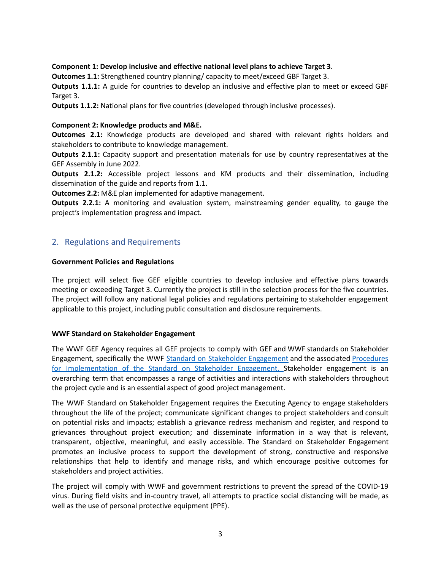### **Component 1: Develop inclusive and effective national level plans to achieve Target 3**.

**Outcomes 1.1:** Strengthened country planning/ capacity to meet/exceed GBF Target 3.

**Outputs 1.1.1:** A guide for countries to develop an inclusive and effective plan to meet or exceed GBF Target 3.

**Outputs 1.1.2:** National plans for five countries (developed through inclusive processes).

#### **Component 2: Knowledge products and M&E.**

**Outcomes 2.1:** Knowledge products are developed and shared with relevant rights holders and stakeholders to contribute to knowledge management.

**Outputs 2.1.1:** Capacity support and presentation materials for use by country representatives at the GEF Assembly in June 2022.

**Outputs 2.1.2:** Accessible project lessons and KM products and their dissemination, including dissemination of the guide and reports from 1.1.

**Outcomes 2.2:** M&E plan implemented for adaptive management.

**Outputs 2.2.1:** A monitoring and evaluation system, mainstreaming gender equality, to gauge the project's implementation progress and impact.

### 2. Regulations and Requirements

#### **Government Policies and Regulations**

The project will select five GEF eligible countries to develop inclusive and effective plans towards meeting or exceeding Target 3. Currently the project is still in the selection process for the five countries. The project will follow any national legal policies and regulations pertaining to stakeholder engagement applicable to this project, including public consultation and disclosure requirements.

#### **WWF Standard on Stakeholder Engagement**

The WWF GEF Agency requires all GEF projects to comply with GEF and WWF standards on Stakeholder Engagement, specifically the WWF Standard on Stakeholder [Engagement](https://wwfgeftracks.com/sites/default/files/2019-02/Standard%20on%20Stakeholder%20Engagement.pdf) and the associated [Procedures](https://wwfgeftracks.com/sites/default/files/2019-02/Procedures%20for%20Implementation%20of%20Standard%20on%20Stakeholder%20Engagement.pdf) for [Implementation](https://wwfgeftracks.com/sites/default/files/2019-02/Procedures%20for%20Implementation%20of%20Standard%20on%20Stakeholder%20Engagement.pdf) of the Standard on Stakeholder Engagement. Stakeholder engagement is an overarching term that encompasses a range of activities and interactions with stakeholders throughout the project cycle and is an essential aspect of good project management.

The WWF Standard on Stakeholder Engagement requires the Executing Agency to engage stakeholders throughout the life of the project; communicate significant changes to project stakeholders and consult on potential risks and impacts; establish a grievance redress mechanism and register, and respond to grievances throughout project execution; and disseminate information in a way that is relevant, transparent, objective, meaningful, and easily accessible. The Standard on Stakeholder Engagement promotes an inclusive process to support the development of strong, constructive and responsive relationships that help to identify and manage risks, and which encourage positive outcomes for stakeholders and project activities.

The project will comply with WWF and government restrictions to prevent the spread of the COVID-19 virus. During field visits and in-country travel, all attempts to practice social distancing will be made, as well as the use of personal protective equipment (PPE).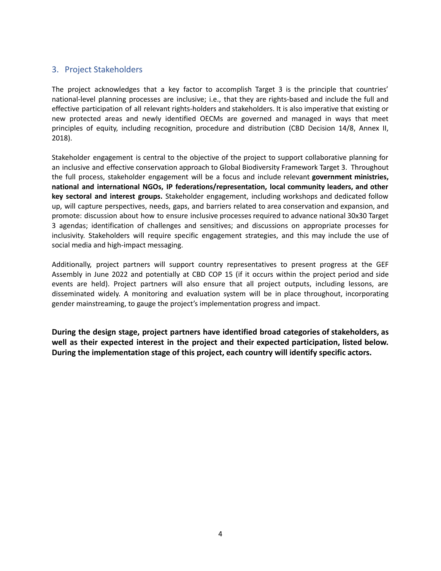## 3. Project Stakeholders

The project acknowledges that a key factor to accomplish Target 3 is the principle that countries' national-level planning processes are inclusive; i.e., that they are rights-based and include the full and effective participation of all relevant rights-holders and stakeholders. It is also imperative that existing or new protected areas and newly identified OECMs are governed and managed in ways that meet principles of equity, including recognition, procedure and distribution (CBD Decision 14/8, Annex II, 2018).

Stakeholder engagement is central to the objective of the project to support collaborative planning for an inclusive and effective conservation approach to Global Biodiversity Framework Target 3. Throughout the full process, stakeholder engagement will be a focus and include relevant **government ministries, national and international NGOs, IP federations/representation, local community leaders, and other key sectoral and interest groups.** Stakeholder engagement, including workshops and dedicated follow up, will capture perspectives, needs, gaps, and barriers related to area conservation and expansion, and promote: discussion about how to ensure inclusive processes required to advance national 30x30 Target 3 agendas; identification of challenges and sensitives; and discussions on appropriate processes for inclusivity. Stakeholders will require specific engagement strategies, and this may include the use of social media and high-impact messaging.

Additionally, project partners will support country representatives to present progress at the GEF Assembly in June 2022 and potentially at CBD COP 15 (if it occurs within the project period and side events are held). Project partners will also ensure that all project outputs, including lessons, are disseminated widely. A monitoring and evaluation system will be in place throughout, incorporating gender mainstreaming, to gauge the project's implementation progress and impact.

**During the design stage, project partners have identified broad categories of stakeholders, as well as their expected interest in the project and their expected participation, listed below. During the implementation stage of this project, each country will identify specific actors.**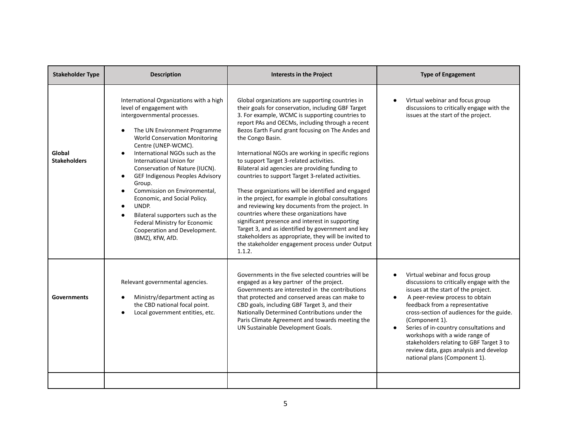| <b>Stakeholder Type</b>       | <b>Description</b>                                                                                                                                                                                                                                                                                                                                                                                                                                                                                                                                                                                   | <b>Interests in the Project</b>                                                                                                                                                                                                                                                                                                                                                                                                                                                                                                                                                                                                                                                                                                                                                                                                                                                                                                          | <b>Type of Engagement</b>                                                                                                                                                                                                                                                                                                                                                                                                                                                                         |
|-------------------------------|------------------------------------------------------------------------------------------------------------------------------------------------------------------------------------------------------------------------------------------------------------------------------------------------------------------------------------------------------------------------------------------------------------------------------------------------------------------------------------------------------------------------------------------------------------------------------------------------------|------------------------------------------------------------------------------------------------------------------------------------------------------------------------------------------------------------------------------------------------------------------------------------------------------------------------------------------------------------------------------------------------------------------------------------------------------------------------------------------------------------------------------------------------------------------------------------------------------------------------------------------------------------------------------------------------------------------------------------------------------------------------------------------------------------------------------------------------------------------------------------------------------------------------------------------|---------------------------------------------------------------------------------------------------------------------------------------------------------------------------------------------------------------------------------------------------------------------------------------------------------------------------------------------------------------------------------------------------------------------------------------------------------------------------------------------------|
| Global<br><b>Stakeholders</b> | International Organizations with a high<br>level of engagement with<br>intergovernmental processes.<br>The UN Environment Programme<br><b>World Conservation Monitoring</b><br>Centre (UNEP-WCMC).<br>International NGOs such as the<br>International Union for<br>Conservation of Nature (IUCN).<br>GEF Indigenous Peoples Advisory<br>$\bullet$<br>Group.<br>Commission on Environmental,<br>$\bullet$<br>Economic, and Social Policy.<br>UNDP.<br>$\bullet$<br>Bilateral supporters such as the<br>$\bullet$<br>Federal Ministry for Economic<br>Cooperation and Development.<br>(BMZ), KfW, AfD. | Global organizations are supporting countries in<br>their goals for conservation, including GBF Target<br>3. For example, WCMC is supporting countries to<br>report PAs and OECMs, including through a recent<br>Bezos Earth Fund grant focusing on The Andes and<br>the Congo Basin.<br>International NGOs are working in specific regions<br>to support Target 3-related activities.<br>Bilateral aid agencies are providing funding to<br>countries to support Target 3-related activities.<br>These organizations will be identified and engaged<br>in the project, for example in global consultations<br>and reviewing key documents from the project. In<br>countries where these organizations have<br>significant presence and interest in supporting<br>Target 3, and as identified by government and key<br>stakeholders as appropriate, they will be invited to<br>the stakeholder engagement process under Output<br>1.1.2. | Virtual webinar and focus group<br>discussions to critically engage with the<br>issues at the start of the project.                                                                                                                                                                                                                                                                                                                                                                               |
| <b>Governments</b>            | Relevant governmental agencies.<br>Ministry/department acting as<br>the CBD national focal point.<br>Local government entities, etc.                                                                                                                                                                                                                                                                                                                                                                                                                                                                 | Governments in the five selected countries will be<br>engaged as a key partner of the project.<br>Governments are interested in the contributions<br>that protected and conserved areas can make to<br>CBD goals, including GBF Target 3, and their<br>Nationally Determined Contributions under the<br>Paris Climate Agreement and towards meeting the<br>UN Sustainable Development Goals.                                                                                                                                                                                                                                                                                                                                                                                                                                                                                                                                             | Virtual webinar and focus group<br>$\bullet$<br>discussions to critically engage with the<br>issues at the start of the project.<br>A peer-review process to obtain<br>$\bullet$<br>feedback from a representative<br>cross-section of audiences for the guide.<br>(Component 1).<br>Series of in-country consultations and<br>$\bullet$<br>workshops with a wide range of<br>stakeholders relating to GBF Target 3 to<br>review data, gaps analysis and develop<br>national plans (Component 1). |
|                               |                                                                                                                                                                                                                                                                                                                                                                                                                                                                                                                                                                                                      |                                                                                                                                                                                                                                                                                                                                                                                                                                                                                                                                                                                                                                                                                                                                                                                                                                                                                                                                          |                                                                                                                                                                                                                                                                                                                                                                                                                                                                                                   |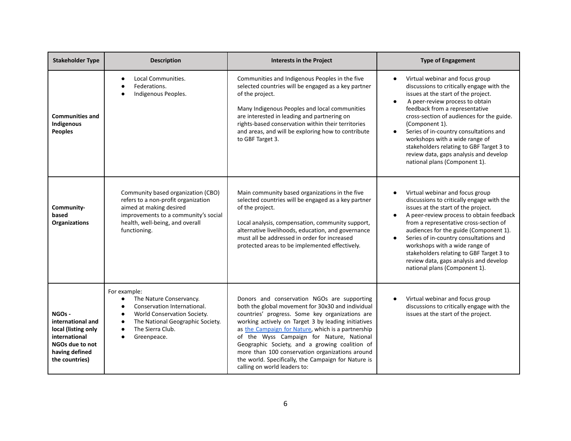| <b>Stakeholder Type</b>                                                                                                    | <b>Description</b>                                                                                                                                                                              | <b>Interests in the Project</b>                                                                                                                                                                                                                                                                                                                                                                                                                                                                           | <b>Type of Engagement</b>                                                                                                                                                                                                                                                                                                                                                                                                                                                                         |
|----------------------------------------------------------------------------------------------------------------------------|-------------------------------------------------------------------------------------------------------------------------------------------------------------------------------------------------|-----------------------------------------------------------------------------------------------------------------------------------------------------------------------------------------------------------------------------------------------------------------------------------------------------------------------------------------------------------------------------------------------------------------------------------------------------------------------------------------------------------|---------------------------------------------------------------------------------------------------------------------------------------------------------------------------------------------------------------------------------------------------------------------------------------------------------------------------------------------------------------------------------------------------------------------------------------------------------------------------------------------------|
| <b>Communities and</b><br>Indigenous<br><b>Peoples</b>                                                                     | Local Communities.<br>$\bullet$<br>Federations.<br>Indigenous Peoples.                                                                                                                          | Communities and Indigenous Peoples in the five<br>selected countries will be engaged as a key partner<br>of the project.<br>Many Indigenous Peoples and local communities<br>are interested in leading and partnering on<br>rights-based conservation within their territories<br>and areas, and will be exploring how to contribute<br>to GBF Target 3.                                                                                                                                                  | Virtual webinar and focus group<br>$\bullet$<br>discussions to critically engage with the<br>issues at the start of the project.<br>A peer-review process to obtain<br>$\bullet$<br>feedback from a representative<br>cross-section of audiences for the guide.<br>(Component 1).<br>Series of in-country consultations and<br>$\bullet$<br>workshops with a wide range of<br>stakeholders relating to GBF Target 3 to<br>review data, gaps analysis and develop<br>national plans (Component 1). |
| Community-<br>based<br><b>Organizations</b>                                                                                | Community based organization (CBO)<br>refers to a non-profit organization<br>aimed at making desired<br>improvements to a community's social<br>health, well-being, and overall<br>functioning. | Main community based organizations in the five<br>selected countries will be engaged as a key partner<br>of the project.<br>Local analysis, compensation, community support,<br>alternative livelihoods, education, and governance<br>must all be addressed in order for increased<br>protected areas to be implemented effectively.                                                                                                                                                                      | Virtual webinar and focus group<br>discussions to critically engage with the<br>issues at the start of the project.<br>A peer-review process to obtain feedback<br>from a representative cross-section of<br>audiences for the guide (Component 1).<br>Series of in-country consultations and<br>$\bullet$<br>workshops with a wide range of<br>stakeholders relating to GBF Target 3 to<br>review data, gaps analysis and develop<br>national plans (Component 1).                               |
| NGOs -<br>international and<br>local (listing only<br>international<br>NGOs due to not<br>having defined<br>the countries) | For example:<br>The Nature Conservancy.<br>$\bullet$<br>Conservation International.<br>World Conservation Society.<br>The National Geographic Society.<br>The Sierra Club.<br>Greenpeace.       | Donors and conservation NGOs are supporting<br>both the global movement for 30x30 and individual<br>countries' progress. Some key organizations are<br>working actively on Target 3 by leading initiatives<br>as the Campaign for Nature, which is a partnership<br>of the Wyss Campaign for Nature, National<br>Geographic Society, and a growing coalition of<br>more than 100 conservation organizations around<br>the world. Specifically, the Campaign for Nature is<br>calling on world leaders to: | Virtual webinar and focus group<br>discussions to critically engage with the<br>issues at the start of the project.                                                                                                                                                                                                                                                                                                                                                                               |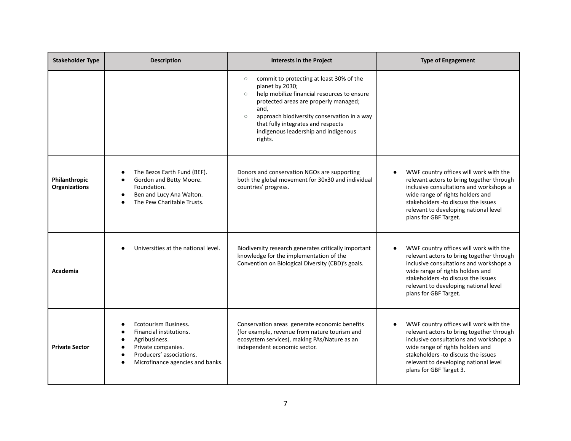| <b>Stakeholder Type</b>               | <b>Description</b>                                                                                                                                                               | <b>Interests in the Project</b>                                                                                                                                                                                                                                                                                                      | <b>Type of Engagement</b>                                                                                                                                                                                                                                                      |
|---------------------------------------|----------------------------------------------------------------------------------------------------------------------------------------------------------------------------------|--------------------------------------------------------------------------------------------------------------------------------------------------------------------------------------------------------------------------------------------------------------------------------------------------------------------------------------|--------------------------------------------------------------------------------------------------------------------------------------------------------------------------------------------------------------------------------------------------------------------------------|
|                                       |                                                                                                                                                                                  | commit to protecting at least 30% of the<br>$\circ$<br>planet by 2030;<br>help mobilize financial resources to ensure<br>$\circ$<br>protected areas are properly managed;<br>and,<br>approach biodiversity conservation in a way<br>$\circ$<br>that fully integrates and respects<br>indigenous leadership and indigenous<br>rights. |                                                                                                                                                                                                                                                                                |
| Philanthropic<br><b>Organizations</b> | The Bezos Earth Fund (BEF).<br>Gordon and Betty Moore.<br>Foundation.<br>Ben and Lucy Ana Walton.<br>$\bullet$<br>The Pew Charitable Trusts.                                     | Donors and conservation NGOs are supporting<br>both the global movement for 30x30 and individual<br>countries' progress.                                                                                                                                                                                                             | WWF country offices will work with the<br>relevant actors to bring together through<br>inclusive consultations and workshops a<br>wide range of rights holders and<br>stakeholders - to discuss the issues<br>relevant to developing national level<br>plans for GBF Target.   |
| Academia                              | Universities at the national level.                                                                                                                                              | Biodiversity research generates critically important<br>knowledge for the implementation of the<br>Convention on Biological Diversity (CBD)'s goals.                                                                                                                                                                                 | WWF country offices will work with the<br>relevant actors to bring together through<br>inclusive consultations and workshops a<br>wide range of rights holders and<br>stakeholders - to discuss the issues<br>relevant to developing national level<br>plans for GBF Target.   |
| <b>Private Sector</b>                 | Ecotourism Business.<br>Financial institutions.<br>Agribusiness.<br>Private companies.<br>$\bullet$<br>Producers' associations.<br>Microfinance agencies and banks.<br>$\bullet$ | Conservation areas generate economic benefits<br>(for example, revenue from nature tourism and<br>ecosystem services), making PAs/Nature as an<br>independent economic sector.                                                                                                                                                       | WWF country offices will work with the<br>relevant actors to bring together through<br>inclusive consultations and workshops a<br>wide range of rights holders and<br>stakeholders - to discuss the issues<br>relevant to developing national level<br>plans for GBF Target 3. |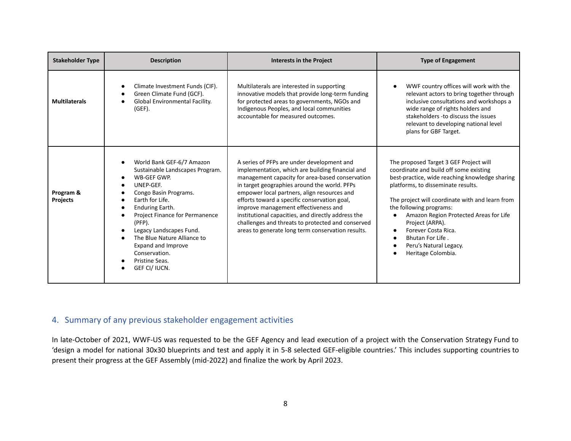| <b>Stakeholder Type</b>      | <b>Description</b>                                                                                                                                                                                                                                                                                                                         | <b>Interests in the Project</b>                                                                                                                                                                                                                                                                                                                                                                                                                                                                          | <b>Type of Engagement</b>                                                                                                                                                                                                                                                                                                                                                                                      |
|------------------------------|--------------------------------------------------------------------------------------------------------------------------------------------------------------------------------------------------------------------------------------------------------------------------------------------------------------------------------------------|----------------------------------------------------------------------------------------------------------------------------------------------------------------------------------------------------------------------------------------------------------------------------------------------------------------------------------------------------------------------------------------------------------------------------------------------------------------------------------------------------------|----------------------------------------------------------------------------------------------------------------------------------------------------------------------------------------------------------------------------------------------------------------------------------------------------------------------------------------------------------------------------------------------------------------|
| <b>Multilaterals</b>         | Climate Investment Funds (CIF).<br>Green Climate Fund (GCF).<br>Global Environmental Facility.<br>$(GEF)$ .                                                                                                                                                                                                                                | Multilaterals are interested in supporting<br>innovative models that provide long-term funding<br>for protected areas to governments, NGOs and<br>Indigenous Peoples, and local communities<br>accountable for measured outcomes.                                                                                                                                                                                                                                                                        | WWF country offices will work with the<br>relevant actors to bring together through<br>inclusive consultations and workshops a<br>wide range of rights holders and<br>stakeholders - to discuss the issues<br>relevant to developing national level<br>plans for GBF Target.                                                                                                                                   |
| Program &<br><b>Projects</b> | World Bank GEF-6/7 Amazon<br>Sustainable Landscapes Program.<br>WB-GEF GWP.<br>UNEP-GEF.<br>Congo Basin Programs.<br>Earth for Life.<br>Enduring Earth.<br>Project Finance for Permanence<br>$(PFP)$ .<br>Legacy Landscapes Fund.<br>The Blue Nature Alliance to<br>Expand and Improve<br>Conservation.<br>Pristine Seas.<br>GEF CI/ IUCN. | A series of PFPs are under development and<br>implementation, which are building financial and<br>management capacity for area-based conservation<br>in target geographies around the world. PFPs<br>empower local partners, align resources and<br>efforts toward a specific conservation goal,<br>improve management effectiveness and<br>institutional capacities, and directly address the<br>challenges and threats to protected and conserved<br>areas to generate long term conservation results. | The proposed Target 3 GEF Project will<br>coordinate and build off some existing<br>best-practice, wide reaching knowledge sharing<br>platforms, to disseminate results.<br>The project will coordinate with and learn from<br>the following programs:<br>Amazon Region Protected Areas for Life<br>Project (ARPA).<br>Forever Costa Rica.<br>Bhutan For Life.<br>Peru's Natural Legacy.<br>Heritage Colombia. |

## 4. Summary of any previous stakeholder engagement activities

In late-October of 2021, WWF-US was requested to be the GEF Agency and lead execution of a project with the Conservation Strategy Fund to 'design a model for national 30x30 blueprints and test and apply it in 5-8 selected GEF-eligible countries.' This includes supporting countries to present their progress at the GEF Assembly (mid-2022) and finalize the work by April 2023.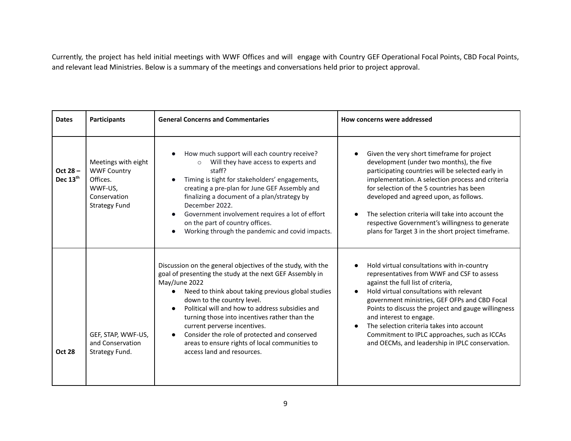Currently, the project has held initial meetings with WWF Offices and will engage with Country GEF Operational Focal Points, CBD Focal Points, and relevant lead Ministries. Below is a summary of the meetings and conversations held prior to project approval.

| <b>Dates</b>                     | <b>Participants</b>                                                                                      | <b>General Concerns and Commentaries</b>                                                                                                                                                                                                                                                                                                                                                                                                                                                                                   | How concerns were addressed                                                                                                                                                                                                                                                                                                                                                                                                                                                                          |  |
|----------------------------------|----------------------------------------------------------------------------------------------------------|----------------------------------------------------------------------------------------------------------------------------------------------------------------------------------------------------------------------------------------------------------------------------------------------------------------------------------------------------------------------------------------------------------------------------------------------------------------------------------------------------------------------------|------------------------------------------------------------------------------------------------------------------------------------------------------------------------------------------------------------------------------------------------------------------------------------------------------------------------------------------------------------------------------------------------------------------------------------------------------------------------------------------------------|--|
| Oct 28 -<br>Dec 13 <sup>th</sup> | Meetings with eight<br><b>WWF Country</b><br>Offices.<br>WWF-US.<br>Conservation<br><b>Strategy Fund</b> | How much support will each country receive?<br>$\bullet$<br>Will they have access to experts and<br>staff?<br>Timing is tight for stakeholders' engagements,<br>creating a pre-plan for June GEF Assembly and<br>finalizing a document of a plan/strategy by<br>December 2022.<br>Government involvement requires a lot of effort<br>$\bullet$<br>on the part of country offices.<br>Working through the pandemic and covid impacts.                                                                                       | Given the very short timeframe for project<br>development (under two months), the five<br>participating countries will be selected early in<br>implementation. A selection process and criteria<br>for selection of the 5 countries has been<br>developed and agreed upon, as follows.<br>The selection criteria will take into account the<br>respective Government's willingness to generate<br>plans for Target 3 in the short project timeframe.                                                 |  |
| <b>Oct 28</b>                    | GEF, STAP, WWF-US,<br>and Conservation<br>Strategy Fund.                                                 | Discussion on the general objectives of the study, with the<br>goal of presenting the study at the next GEF Assembly in<br>May/June 2022<br>Need to think about taking previous global studies<br>$\bullet$<br>down to the country level.<br>Political will and how to address subsidies and<br>$\bullet$<br>turning those into incentives rather than the<br>current perverse incentives.<br>Consider the role of protected and conserved<br>areas to ensure rights of local communities to<br>access land and resources. | Hold virtual consultations with in-country<br>$\bullet$<br>representatives from WWF and CSF to assess<br>against the full list of criteria,<br>Hold virtual consultations with relevant<br>$\bullet$<br>government ministries, GEF OFPs and CBD Focal<br>Points to discuss the project and gauge willingness<br>and interest to engage.<br>The selection criteria takes into account<br>$\bullet$<br>Commitment to IPLC approaches, such as ICCAs<br>and OECMs, and leadership in IPLC conservation. |  |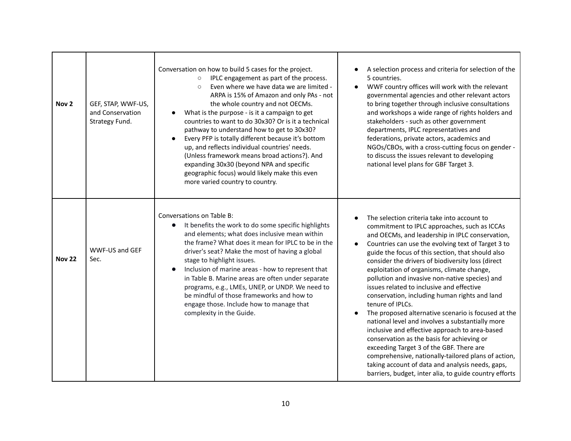| Nov <sub>2</sub> | GEF, STAP, WWF-US,<br>and Conservation<br>Strategy Fund.                                                                                                                                                                                                                                                                                                                                                                                                                                                                                                                                                       | Conversation on how to build 5 cases for the project.<br>IPLC engagement as part of the process.<br>$\circ$<br>Even where we have data we are limited -<br>$\circ$<br>ARPA is 15% of Amazon and only PAs - not<br>the whole country and not OECMs.<br>What is the purpose - is it a campaign to get<br>countries to want to do 30x30? Or is it a technical<br>pathway to understand how to get to 30x30?<br>Every PFP is totally different because it's bottom<br>up, and reflects individual countries' needs.<br>(Unless framework means broad actions?). And<br>expanding 30x30 (beyond NPA and specific<br>geographic focus) would likely make this even<br>more varied country to country. | A selection process and criteria for selection of the<br>5 countries.<br>WWF country offices will work with the relevant<br>$\bullet$<br>governmental agencies and other relevant actors<br>to bring together through inclusive consultations<br>and workshops a wide range of rights holders and<br>stakeholders - such as other government<br>departments, IPLC representatives and<br>federations, private actors, academics and<br>NGOs/CBOs, with a cross-cutting focus on gender -<br>to discuss the issues relevant to developing<br>national level plans for GBF Target 3.                                                                                                                                                                                                                                                                                                                                                                                                     |  |
|------------------|----------------------------------------------------------------------------------------------------------------------------------------------------------------------------------------------------------------------------------------------------------------------------------------------------------------------------------------------------------------------------------------------------------------------------------------------------------------------------------------------------------------------------------------------------------------------------------------------------------------|-------------------------------------------------------------------------------------------------------------------------------------------------------------------------------------------------------------------------------------------------------------------------------------------------------------------------------------------------------------------------------------------------------------------------------------------------------------------------------------------------------------------------------------------------------------------------------------------------------------------------------------------------------------------------------------------------|----------------------------------------------------------------------------------------------------------------------------------------------------------------------------------------------------------------------------------------------------------------------------------------------------------------------------------------------------------------------------------------------------------------------------------------------------------------------------------------------------------------------------------------------------------------------------------------------------------------------------------------------------------------------------------------------------------------------------------------------------------------------------------------------------------------------------------------------------------------------------------------------------------------------------------------------------------------------------------------|--|
| <b>Nov 22</b>    | Conversations on Table B:<br>It benefits the work to do some specific highlights<br>$\bullet$<br>and elements; what does inclusive mean within<br>the frame? What does it mean for IPLC to be in the<br>WWF-US and GEF<br>driver's seat? Make the most of having a global<br>Sec.<br>stage to highlight issues.<br>Inclusion of marine areas - how to represent that<br>$\bullet$<br>in Table B. Marine areas are often under separate<br>programs, e.g., LMEs, UNEP, or UNDP. We need to<br>be mindful of those frameworks and how to<br>engage those. Include how to manage that<br>complexity in the Guide. |                                                                                                                                                                                                                                                                                                                                                                                                                                                                                                                                                                                                                                                                                                 | The selection criteria take into account to<br>commitment to IPLC approaches, such as ICCAs<br>and OECMs, and leadership in IPLC conservation,<br>Countries can use the evolving text of Target 3 to<br>$\bullet$<br>guide the focus of this section, that should also<br>consider the drivers of biodiversity loss (direct<br>exploitation of organisms, climate change,<br>pollution and invasive non-native species) and<br>issues related to inclusive and effective<br>conservation, including human rights and land<br>tenure of IPLCs.<br>The proposed alternative scenario is focused at the<br>$\bullet$<br>national level and involves a substantially more<br>inclusive and effective approach to area-based<br>conservation as the basis for achieving or<br>exceeding Target 3 of the GBF. There are<br>comprehensive, nationally-tailored plans of action,<br>taking account of data and analysis needs, gaps,<br>barriers, budget, inter alia, to guide country efforts |  |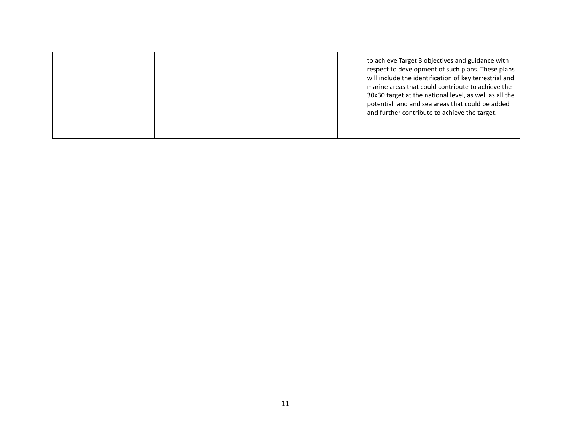|  | to achieve Target 3 objectives and guidance with<br>respect to development of such plans. These plans<br>will include the identification of key terrestrial and<br>marine areas that could contribute to achieve the<br>30x30 target at the national level, as well as all the<br>potential land and sea areas that could be added<br>and further contribute to achieve the target. |
|--|-------------------------------------------------------------------------------------------------------------------------------------------------------------------------------------------------------------------------------------------------------------------------------------------------------------------------------------------------------------------------------------|
|  |                                                                                                                                                                                                                                                                                                                                                                                     |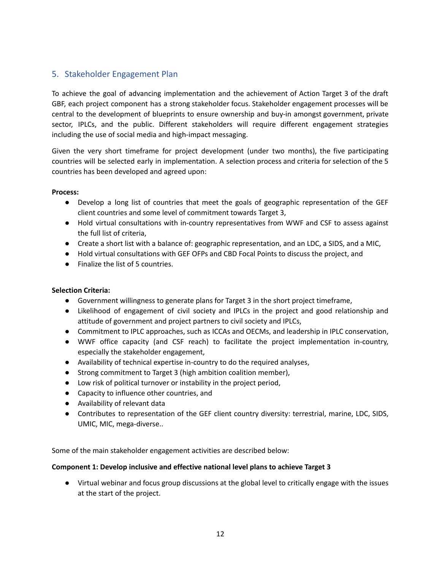# 5. Stakeholder Engagement Plan

To achieve the goal of advancing implementation and the achievement of Action Target 3 of the draft GBF, each project component has a strong stakeholder focus. Stakeholder engagement processes will be central to the development of blueprints to ensure ownership and buy-in amongst government, private sector, IPLCs, and the public. Different stakeholders will require different engagement strategies including the use of social media and high-impact messaging.

Given the very short timeframe for project development (under two months), the five participating countries will be selected early in implementation. A selection process and criteria for selection of the 5 countries has been developed and agreed upon:

### **Process:**

- Develop a long list of countries that meet the goals of geographic representation of the GEF client countries and some level of commitment towards Target 3,
- Hold virtual consultations with in-country representatives from WWF and CSF to assess against the full list of criteria,
- Create a short list with a balance of: geographic representation, and an LDC, a SIDS, and a MIC,
- Hold virtual consultations with GEF OFPs and CBD Focal Points to discuss the project, and
- Finalize the list of 5 countries.

### **Selection Criteria:**

- Government willingness to generate plans for Target 3 in the short project timeframe,
- Likelihood of engagement of civil society and IPLCs in the project and good relationship and attitude of government and project partners to civil society and IPLCs,
- Commitment to IPLC approaches, such as ICCAs and OECMs, and leadership in IPLC conservation,
- WWF office capacity (and CSF reach) to facilitate the project implementation in-country, especially the stakeholder engagement,
- Availability of technical expertise in-country to do the required analyses,
- Strong commitment to Target 3 (high ambition coalition member),
- Low risk of political turnover or instability in the project period,
- Capacity to influence other countries, and
- Availability of relevant data
- Contributes to representation of the GEF client country diversity: terrestrial, marine, LDC, SIDS, UMIC, MIC, mega-diverse..

Some of the main stakeholder engagement activities are described below:

### **Component 1: Develop inclusive and effective national level plans to achieve Target 3**

● Virtual webinar and focus group discussions at the global level to critically engage with the issues at the start of the project.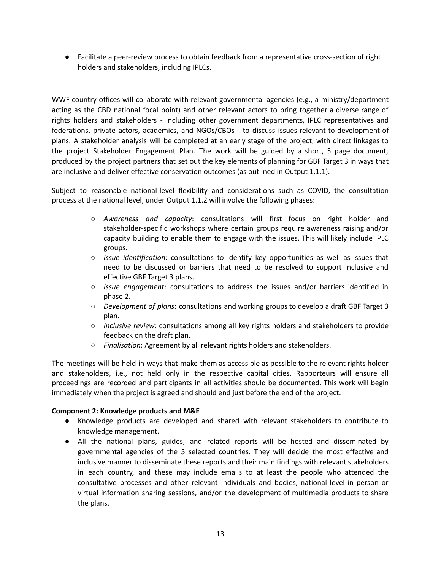● Facilitate a peer-review process to obtain feedback from a representative cross-section of right holders and stakeholders, including IPLCs.

WWF country offices will collaborate with relevant governmental agencies (e.g., a ministry/department acting as the CBD national focal point) and other relevant actors to bring together a diverse range of rights holders and stakeholders - including other government departments, IPLC representatives and federations, private actors, academics, and NGOs/CBOs - to discuss issues relevant to development of plans. A stakeholder analysis will be completed at an early stage of the project, with direct linkages to the project Stakeholder Engagement Plan. The work will be guided by a short, 5 page document, produced by the project partners that set out the key elements of planning for GBF Target 3 in ways that are inclusive and deliver effective conservation outcomes (as outlined in Output 1.1.1).

Subject to reasonable national-level flexibility and considerations such as COVID, the consultation process at the national level, under Output 1.1.2 will involve the following phases:

- *Awareness and capacity*: consultations will first focus on right holder and stakeholder-specific workshops where certain groups require awareness raising and/or capacity building to enable them to engage with the issues. This will likely include IPLC groups.
- *Issue identification*: consultations to identify key opportunities as well as issues that need to be discussed or barriers that need to be resolved to support inclusive and effective GBF Target 3 plans.
- *Issue engagement*: consultations to address the issues and/or barriers identified in phase 2.
- *Development of plans*: consultations and working groups to develop a draft GBF Target 3 plan.
- *Inclusive review*: consultations among all key rights holders and stakeholders to provide feedback on the draft plan.
- *Finalisation*: Agreement by all relevant rights holders and stakeholders.

The meetings will be held in ways that make them as accessible as possible to the relevant rights holder and stakeholders, i.e., not held only in the respective capital cities. Rapporteurs will ensure all proceedings are recorded and participants in all activities should be documented. This work will begin immediately when the project is agreed and should end just before the end of the project.

### **Component 2: Knowledge products and M&E**

- Knowledge products are developed and shared with relevant stakeholders to contribute to knowledge management.
- All the national plans, guides, and related reports will be hosted and disseminated by governmental agencies of the 5 selected countries. They will decide the most effective and inclusive manner to disseminate these reports and their main findings with relevant stakeholders in each country, and these may include emails to at least the people who attended the consultative processes and other relevant individuals and bodies, national level in person or virtual information sharing sessions, and/or the development of multimedia products to share the plans.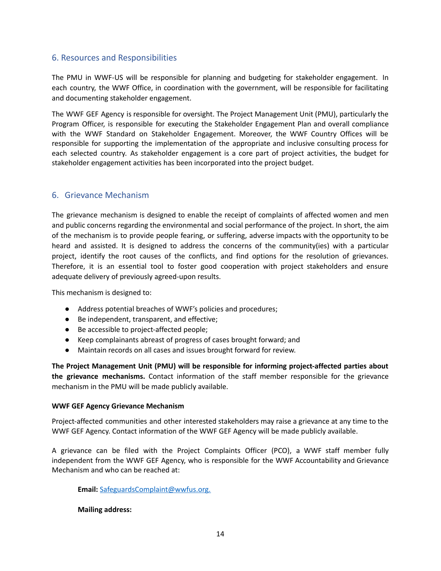## 6. Resources and Responsibilities

The PMU in WWF-US will be responsible for planning and budgeting for stakeholder engagement. In each country, the WWF Office, in coordination with the government, will be responsible for facilitating and documenting stakeholder engagement.

The WWF GEF Agency is responsible for oversight. The Project Management Unit (PMU), particularly the Program Officer, is responsible for executing the Stakeholder Engagement Plan and overall compliance with the WWF Standard on Stakeholder Engagement. Moreover, the WWF Country Offices will be responsible for supporting the implementation of the appropriate and inclusive consulting process for each selected country. As stakeholder engagement is a core part of project activities, the budget for stakeholder engagement activities has been incorporated into the project budget.

### 6. Grievance Mechanism

The grievance mechanism is designed to enable the receipt of complaints of affected women and men and public concerns regarding the environmental and social performance of the project. In short, the aim of the mechanism is to provide people fearing, or suffering, adverse impacts with the opportunity to be heard and assisted. It is designed to address the concerns of the community(ies) with a particular project, identify the root causes of the conflicts, and find options for the resolution of grievances. Therefore, it is an essential tool to foster good cooperation with project stakeholders and ensure adequate delivery of previously agreed-upon results.

This mechanism is designed to:

- Address potential breaches of WWF's policies and procedures;
- Be independent, transparent, and effective;
- Be accessible to project-affected people;
- Keep complainants abreast of progress of cases brought forward; and
- Maintain records on all cases and issues brought forward for review.

**The Project Management Unit (PMU) will be responsible for informing project-affected parties about the grievance mechanisms.** Contact information of the staff member responsible for the grievance mechanism in the PMU will be made publicly available.

### **WWF GEF Agency Grievance Mechanism**

Project-affected communities and other interested stakeholders may raise a grievance at any time to the WWF GEF Agency. Contact information of the WWF GEF Agency will be made publicly available.

A grievance can be filed with the Project Complaints Officer (PCO), a WWF staff member fully independent from the WWF GEF Agency, who is responsible for the WWF Accountability and Grievance Mechanism and who can be reached at:

**Email:** [SafeguardsComplaint@wwfus.org.](mailto:SafeguardsComplaint@wwfus.org)

### **Mailing address:**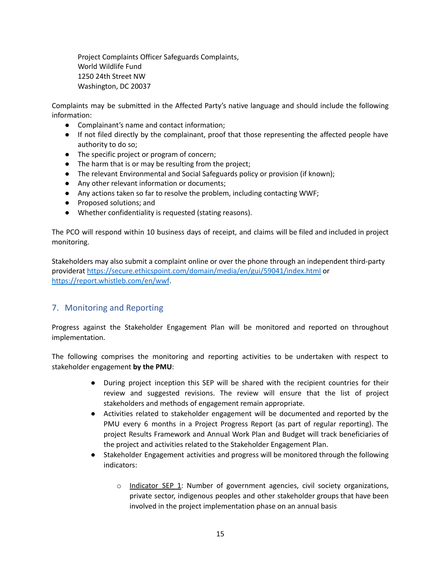Project Complaints Officer Safeguards Complaints, World Wildlife Fund 1250 24th Street NW Washington, DC 20037

Complaints may be submitted in the Affected Party's native language and should include the following information:

- Complainant's name and contact information;
- If not filed directly by the complainant, proof that those representing the affected people have authority to do so;
- The specific project or program of concern;
- The harm that is or may be resulting from the project;
- The relevant Environmental and Social Safeguards policy or provision (if known);
- Any other relevant information or documents;
- Any actions taken so far to resolve the problem, including contacting WWF;
- Proposed solutions; and
- Whether confidentiality is requested (stating reasons).

The PCO will respond within 10 business days of receipt, and claims will be filed and included in project monitoring.

Stakeholders may also submit a complaint online or over the phone through an independent third-party providerat <https://secure.ethicspoint.com/domain/media/en/gui/59041/index.html> or <https://report.whistleb.com/en/wwf>.

## 7. Monitoring and Reporting

Progress against the Stakeholder Engagement Plan will be monitored and reported on throughout implementation.

The following comprises the monitoring and reporting activities to be undertaken with respect to stakeholder engagement **by the PMU**:

- During project inception this SEP will be shared with the recipient countries for their review and suggested revisions. The review will ensure that the list of project stakeholders and methods of engagement remain appropriate.
- Activities related to stakeholder engagement will be documented and reported by the PMU every 6 months in a Project Progress Report (as part of regular reporting). The project Results Framework and Annual Work Plan and Budget will track beneficiaries of the project and activities related to the Stakeholder Engagement Plan.
- Stakeholder Engagement activities and progress will be monitored through the following indicators:
	- $\circ$  Indicator SEP 1: Number of government agencies, civil society organizations, private sector, indigenous peoples and other stakeholder groups that have been involved in the project implementation phase on an annual basis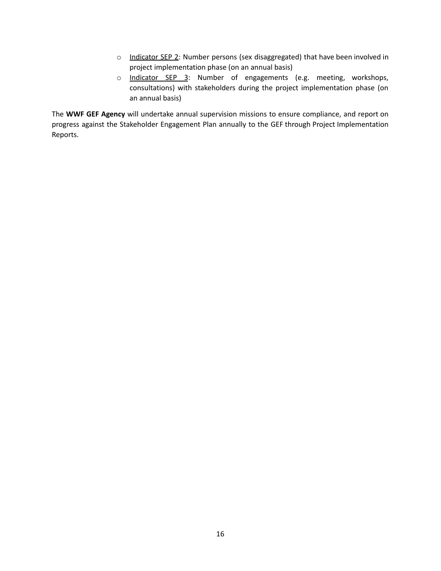- o Indicator SEP 2: Number persons (sex disaggregated) that have been involved in project implementation phase (on an annual basis)
- o Indicator SEP 3: Number of engagements (e.g. meeting, workshops, consultations) with stakeholders during the project implementation phase (on an annual basis)

The **WWF GEF Agency** will undertake annual supervision missions to ensure compliance, and report on progress against the Stakeholder Engagement Plan annually to the GEF through Project Implementation Reports.